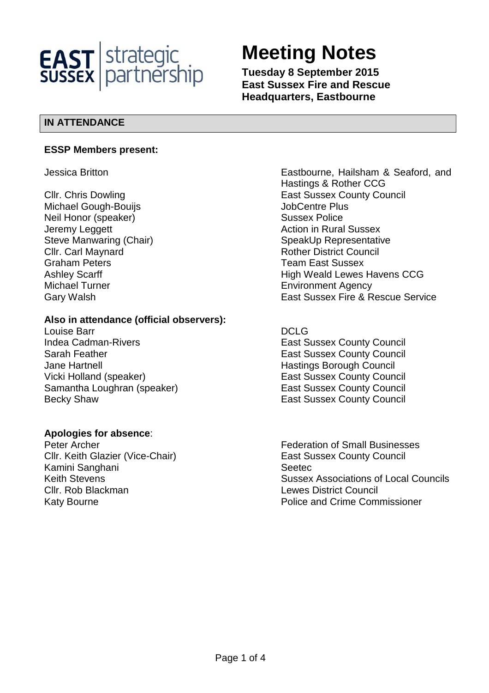

# **Meeting Notes**

**Tuesday 8 September 2015 East Sussex Fire and Rescue Headquarters, Eastbourne** 

# **IN ATTENDANCE**

### **ESSP Members present:**

Michael Gough-Bouijs **Michael Gough-Bouis JobCentre Plus** Neil Honor (speaker) Sussex Police Jeremy Leggett **Action** in Rural Sussex **Clir. Carl Maynard Clires Council Rother District Council** Graham Peters **Team East Sussex** Michael Turner **Environment Agency** 

# **Also in attendance (official observers):**

Louise Barr DCLG Indea Cadman-Rivers **East Sussex County Council** Sarah Feather **East Sussex County Council** East Sussex County Council Jane Hartnell **Hastings Borough Council** Hastings Borough Council Vicki Holland (speaker) The East Sussex County Council Samantha Loughran (speaker) East Sussex County Council Becky Shaw **East Sussex County Council** 

# **Apologies for absence**:

Cllr. Keith Glazier (Vice-Chair) East Sussex County Council Kamini Sanghani **Seetec** Seetec Cllr. Rob Blackman Lewes District Council

Jessica Britton Eastbourne, Hailsham & Seaford, and Hastings & Rother CCG **Cllr. Chris Dowling Clear County Council** East Sussex County Council Steve Manwaring (Chair) Steve Manwaring (Chair) SpeakUp Representative Ashley Scarff **High Weald Lewes Havens CCG** Gary Walsh East Sussex Fire & Rescue Service

Peter Archer Federation of Small Businesses Keith Stevens **Sussex Associations of Local Councils** Councils Katy Bourne **Police and Crime Commissioner**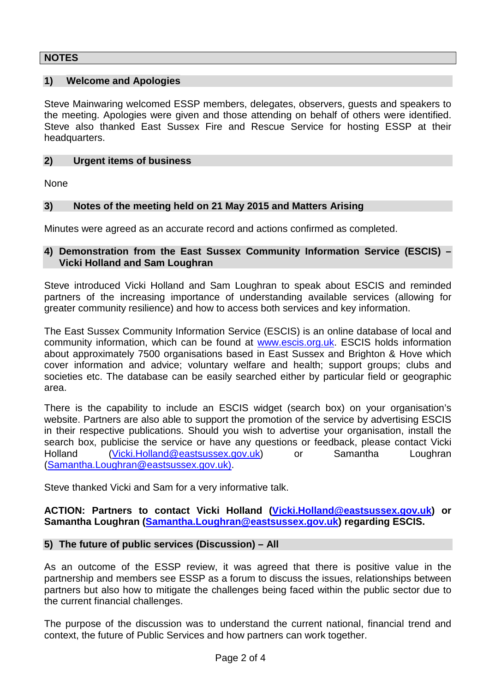## **NOTES**

#### **1) Welcome and Apologies**

Steve Mainwaring welcomed ESSP members, delegates, observers, guests and speakers to the meeting. Apologies were given and those attending on behalf of others were identified. Steve also thanked East Sussex Fire and Rescue Service for hosting ESSP at their headquarters.

#### **2) Urgent items of business**

None

#### **3) Notes of the meeting held on 21 May 2015 and Matters Arising**

Minutes were agreed as an accurate record and actions confirmed as completed.

#### **4) Demonstration from the East Sussex Community Information Service (ESCIS) – Vicki Holland and Sam Loughran**

Steve introduced Vicki Holland and Sam Loughran to speak about ESCIS and reminded partners of the increasing importance of understanding available services (allowing for greater community resilience) and how to access both services and key information.

The East Sussex Community Information Service (ESCIS) is an online database of local and community information, which can be found at www.escis.org.uk. ESCIS holds information about approximately 7500 organisations based in East Sussex and Brighton & Hove which cover information and advice; voluntary welfare and health; support groups; clubs and societies etc. The database can be easily searched either by particular field or geographic area.

There is the capability to include an ESCIS widget (search box) on your organisation's website. Partners are also able to support the promotion of the service by advertising ESCIS in their respective publications. Should you wish to advertise your organisation, install the search box, publicise the service or have any questions or feedback, please contact Vicki Holland (Vicki.Holland@eastsussex.gov.uk) or Samantha Loughran (Samantha.Loughran@eastsussex.gov.uk).

Steve thanked Vicki and Sam for a very informative talk.

**ACTION: Partners to contact Vicki Holland (Vicki.Holland@eastsussex.gov.uk) or Samantha Loughran (Samantha.Loughran@eastsussex.gov.uk) regarding ESCIS.** 

#### **5) The future of public services (Discussion) – All**

As an outcome of the ESSP review, it was agreed that there is positive value in the partnership and members see ESSP as a forum to discuss the issues, relationships between partners but also how to mitigate the challenges being faced within the public sector due to the current financial challenges.

The purpose of the discussion was to understand the current national, financial trend and context, the future of Public Services and how partners can work together.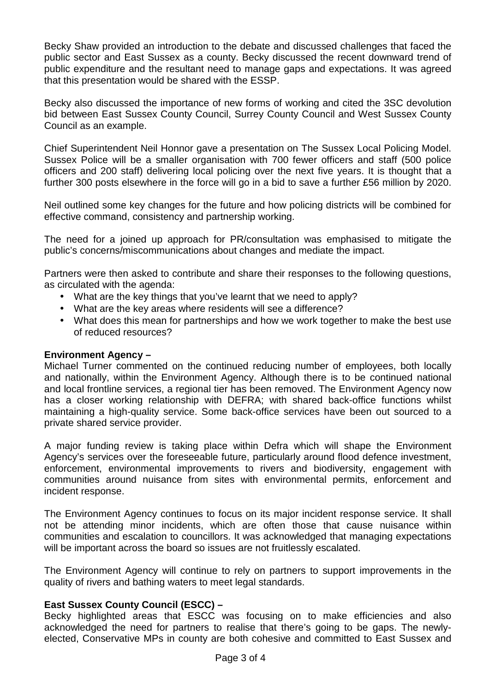Becky Shaw provided an introduction to the debate and discussed challenges that faced the public sector and East Sussex as a county. Becky discussed the recent downward trend of public expenditure and the resultant need to manage gaps and expectations. It was agreed that this presentation would be shared with the ESSP.

Becky also discussed the importance of new forms of working and cited the 3SC devolution bid between East Sussex County Council, Surrey County Council and West Sussex County Council as an example.

Chief Superintendent Neil Honnor gave a presentation on The Sussex Local Policing Model. Sussex Police will be a smaller organisation with 700 fewer officers and staff (500 police officers and 200 staff) delivering local policing over the next five years. It is thought that a further 300 posts elsewhere in the force will go in a bid to save a further £56 million by 2020.

Neil outlined some key changes for the future and how policing districts will be combined for effective command, consistency and partnership working.

The need for a joined up approach for PR/consultation was emphasised to mitigate the public's concerns/miscommunications about changes and mediate the impact.

Partners were then asked to contribute and share their responses to the following questions, as circulated with the agenda:

- What are the key things that you've learnt that we need to apply?
- What are the key areas where residents will see a difference?
- What does this mean for partnerships and how we work together to make the best use of reduced resources?

#### **Environment Agency –**

Michael Turner commented on the continued reducing number of employees, both locally and nationally, within the Environment Agency. Although there is to be continued national and local frontline services, a regional tier has been removed. The Environment Agency now has a closer working relationship with DEFRA; with shared back-office functions whilst maintaining a high-quality service. Some back-office services have been out sourced to a private shared service provider.

A major funding review is taking place within Defra which will shape the Environment Agency's services over the foreseeable future, particularly around flood defence investment, enforcement, environmental improvements to rivers and biodiversity, engagement with communities around nuisance from sites with environmental permits, enforcement and incident response.

The Environment Agency continues to focus on its major incident response service. It shall not be attending minor incidents, which are often those that cause nuisance within communities and escalation to councillors. It was acknowledged that managing expectations will be important across the board so issues are not fruitlessly escalated.

The Environment Agency will continue to rely on partners to support improvements in the quality of rivers and bathing waters to meet legal standards.

# **East Sussex County Council (ESCC) –**

Becky highlighted areas that ESCC was focusing on to make efficiencies and also acknowledged the need for partners to realise that there's going to be gaps. The newlyelected, Conservative MPs in county are both cohesive and committed to East Sussex and